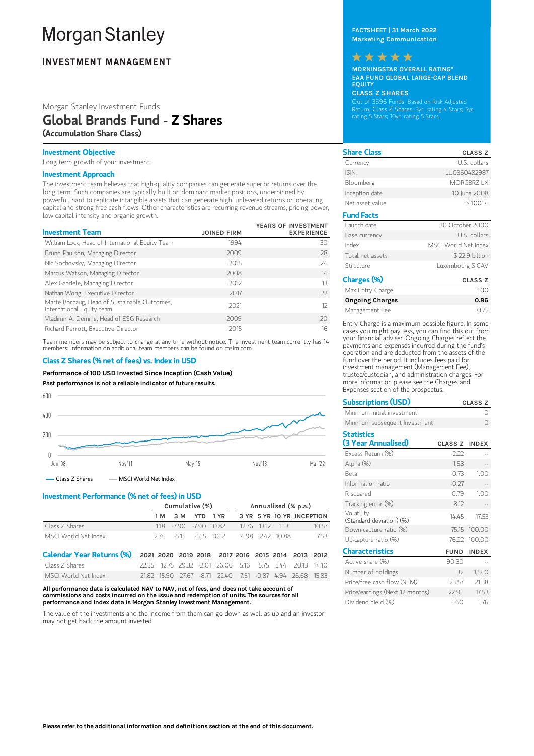# **Morgan Stanley**

# **INVESTMENT MANAGEMENT**

#### Morgan Stanley Investment Funds Global Brands Fund - Z Shares (Accumulation Share Class)

#### Investment Objective

Long term growth of your investment.

#### Investment Approach

The investment team believes that high-quality companies can generate superior returns over the long term. Such companies are typically built on dominant market positions, underpinned by powerful, hard to replicate intangible assets that can generate high, unlevered returns on operating capital and strong free cash flows. Other characteristics are recurring revenue streams, pricing power, low capital intensity and organic growth.

| <b>Investment Team</b>                                                    | <b>JOINED FIRM</b> | YEARS OF INVESTMENT<br><b>EXPERIENCE</b> |
|---------------------------------------------------------------------------|--------------------|------------------------------------------|
| William Lock, Head of International Equity Team                           | 1994               | 30                                       |
| Bruno Paulson, Managing Director                                          | 2009               | 28                                       |
| Nic Sochovsky, Managing Director                                          | 2015               | 24                                       |
| Marcus Watson, Managing Director                                          | 2008               | 14                                       |
| Alex Gabriele, Managing Director                                          | 2012               | 13                                       |
| Nathan Wong, Executive Director                                           | 2017               | $22$                                     |
| Marte Borhaug, Head of Sustainable Outcomes,<br>International Equity team | 2021               | 12                                       |
| Vladimir A. Demine, Head of ESG Research                                  | 2009               | 20                                       |
| Richard Perrott, Executive Director                                       | 2015               | 16                                       |

Team members may be subject to change at any time without notice. The investment team currently has 14 members; information on additional team members can be found on msim.com.

#### Class Z Shares (% net of fees) vs. Index in USD

Performance of100 USD Invested Since Inception (Cash Value)

Past performance is not a reliable indicator of future results.



- Class Z Shares - MSCI World Net Index

#### Investment Performance (% net of fees) in USD

|                      | Cumulative (%)           |  |  | Annualised (% p.a.) |  |                   |                           |
|----------------------|--------------------------|--|--|---------------------|--|-------------------|---------------------------|
|                      | 1 M 3 M YTD 1 YR         |  |  |                     |  |                   | 3 YR 5 YR 10 YR INCEPTION |
| Class 7 Shares       | 1.18 - 7.90 - 7.90 10.82 |  |  |                     |  | 12.76 13.12 11.31 | 1057                      |
| MSCI World Net Index | 274 - 515 - 515 1012     |  |  | 14.98 12.42 10.88   |  |                   | 753                       |
|                      |                          |  |  |                     |  |                   |                           |

| Calendar Year Returns (%) 2021 2020 2019 2018 2017 2016 2015 2014 2013 2012 |  |  |  |  |                                                           |  |
|-----------------------------------------------------------------------------|--|--|--|--|-----------------------------------------------------------|--|
| Class 7 Shares                                                              |  |  |  |  | 22.35 12.75 29.32 -2.01 26.06 5.16 5.75 5.44 20.13 14.10  |  |
| MSCI World Net Index                                                        |  |  |  |  | 21.82 15.90 27.67 -8.71 22.40 7.51 -0.87 4.94 26.68 15.83 |  |

All performance data is calculated NAV to NAV, net of fees, and does not take account of commissions and costs incurred on the issue and redemption of units. The sources for all performance and Index data is Morgan Stanley Investment Management.

The value of the investments and the income from them can go down as well as up and an investor may not get back the amount invested.

FACTSHEET | 31 March 2022 Marketing Communication

#### \*\*\*\*\*

MORNINGSTAR OVERALL RATING\* EAA FUND GLOBAL LARGE-CAP BLEND EQUITY

#### CLASS Z SHARES

Out of 3696 Funds. Based on Risk Adjusted Return. Class Z Shares: 3yr. rating 4 Stars; 5yr. rating 5 Stars; 10yr. rating 5 Stars.

| <b>Share Class</b> | <b>CLASS Z</b>       |
|--------------------|----------------------|
| Currency           | U.S. dollars         |
| <b>ISIN</b>        | LU0360482987         |
| Bloomberg          | MORGBRZ I X          |
| Inception date     | 10 June 2008         |
| Net asset value    | \$100.14             |
| <b>Fund Facts</b>  |                      |
| Launch date        | 30 October 2000      |
| Base currency      | U.S. dollars         |
| Index              | MSCL World Net Index |
| Total net assets   | \$22.9 billion       |
| Structure          | Luxembourg SICAV     |

| Charges (%)            | <b>CLASS Z</b> |
|------------------------|----------------|
| Max Entry Charge       | 1.00           |
| <b>Ongoing Charges</b> | 0.86           |
| Management Fee         | 075            |

Entry Charge is a maximum possible figure. In some cases you might pay less, you can find this out from your financial adviser. Ongoing Charges reflect the payments and expenses incurred during the fund's operation and are deducted from the assets of the fund over the period. It includes fees paid for investment management (Management Fee), trustee/custodian, and administration charges. For more information please see the Charges and Expenses section of the prospectus.

| <b>Subscriptions (USD)</b>             |               | <b>CLASS Z</b> |
|----------------------------------------|---------------|----------------|
| Minimum initial investment             |               | Ω              |
| Minimum subsequent Investment          |               | ∩              |
| <b>Statistics</b>                      |               |                |
| (3 Year Annualised)                    | CLASS Z INDEX |                |
| Excess Return (%)                      | $-2.22$       |                |
| Alpha (%)                              | 1.58          |                |
| <b>Beta</b>                            | 0.73          | 1.00           |
| Information ratio                      | $-0.27$       |                |
| R squared                              | 0.79          | 1.00           |
| Tracking error (%)                     | 8.12          |                |
| Volatility<br>(Standard deviation) (%) | 1445          | 17.53          |
| Down-capture ratio (%)                 | 75.15         | 100.00         |
| Up-capture ratio (%)                   |               | 76.22 100.00   |
| <b>Characteristics</b>                 | <b>FUND</b>   | <b>INDEX</b>   |
| Active share (%)                       | 90.30         |                |
| Number of holdings                     | 32            | 1,540          |
| Price/free cash flow (NTM)             | 23.57         | 21.38          |
| Price/earnings (Next 12 months)        | 22.95         | 17.53          |
| Dividend Yield (%)                     | 1.60          | 1.76           |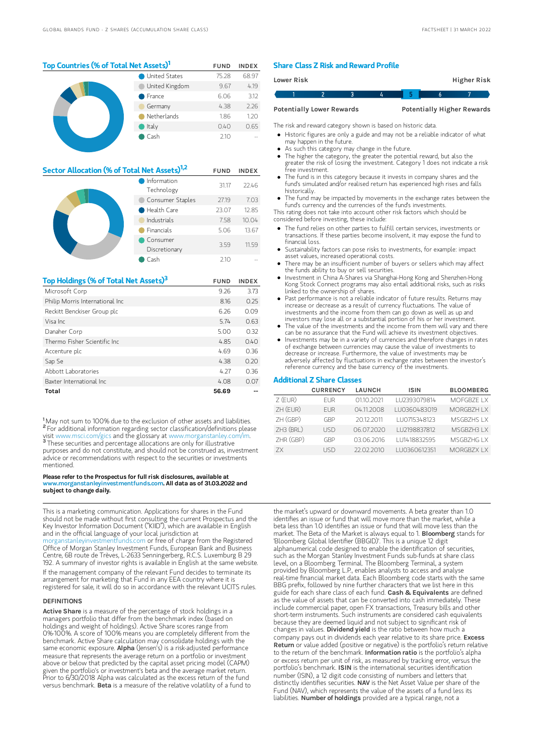#### Top Countries (% of Total Net Assets)<sup>1</sup> FUND INDEX United States 75.28 68.97 United Kingdom 9.67 4.19 France 6.06 3.12 Germany 4.38 2.26

#### Netherlands 1.86 1.20 Italy 0.40 0.65 Cash 2.10 --

| Sector Allocation (% of Total Net Assets) <sup>1,2</sup> |                           |       | <b>INDEX</b> |
|----------------------------------------------------------|---------------------------|-------|--------------|
|                                                          | Information<br>Technology | 31.17 | 22.46        |
|                                                          | Consumer Staples          | 27.19 | 7.03         |
|                                                          | Health Care               | 23.07 | 12.85        |
|                                                          | Industrials               | 7.58  | 10.04        |
|                                                          | Financials                | 5.06  | 13.67        |
|                                                          | Consumer<br>Discretionary | 3.59  | 11.59        |
|                                                          | Cash                      | 210   |              |

| Top Holdings (% of Total Net Assets) <sup>3</sup> | <b>FUND</b> | <b>INDEX</b> |
|---------------------------------------------------|-------------|--------------|
| Microsoft Corp                                    | 9.26        | 3.73         |
| Philip Morris International Inc                   | 8.16        | 0.25         |
| Reckitt Benckiser Group plc                       | 6.26        | 0.09         |
| Visa Inc                                          | 5.74        | 0.63         |
| Danaher Corp                                      | 5.00        | 0.32         |
| Thermo Fisher Scientific Inc.                     | 4.85        | 0.40         |
| Accenture plc                                     | 4.69        | 0.36         |
| Sap Se                                            | 4.38        | 0.20         |
| Abbott Laboratories                               | 4.27        | 0.36         |
| Baxter International Inc.                         | 4.08        | 0.07         |
| Total                                             | 56.69       |              |

<sup>1</sup>May not sum to 100% due to the exclusion of other assets and liabilities. <sup>2</sup> For additional information regarding sector classification/definitions please visit www.msci.com/gics and the glossary at www.morganstanley.com/im. <sup>3</sup> These securities and percentage allocations are only for illustrative purposes and do not constitute, and should not be construed as, investment advice or recommendations with respect to the securities or investments mentioned.

#### Please refer to the Prospectus for full risk disclosures, available at ww.morganstanleyinvestmentfunds.com. All data as of 31.03.2022 and subject to change daily.

This is a marketing communication. Applications for shares in the Fund should not be made without first consulting the current Prospectus and the Key Investor Information Document ("KIID"), which are available in English and in the official language of your local jurisdiction at rganstanleyinvestmentfunds.com or free of charge from the Registered Office of Morgan Stanley Investment Funds, European Bank and Business Centre, 6B route de Trèves, L-2633 Senningerberg, R.C.S. Luxemburg B 29 192. A summary of investor rights is available in English at the same website. If the management company of the relevant Fund decides to terminate its arrangement for marketing that Fund in any EEA country where it is registered for sale, it will do so in accordance with the relevant UCITS rules.

#### DEFINITIONS

Active Share is a measure of the percentage of stock holdings in a managers portfolio that differ from the benchmark index (based on holdings and weight of holdings). Active Share scores range from 0%-100%. A score of 100% means you are completely different from the benchmark. Active Share calculation may consolidate holdings with the<br>same economic exposure. **AIpha** (Jensen's) is a risk-adjusted performance measure that represents the average return on a portfolio or investment above or below that predicted by the capital asset pricing model (CAPM) given the portfolio's or investment's beta and the average market return. Prior to 6/30/2018 Alpha was calculated as the excess return of the fund versus benchmark. Beta is a measure of the relative volatility of a fund to

#### Share Class Z Risk and Reward Profile

| Lower Risk |                                  |  |                                   | Higher Risk |  |
|------------|----------------------------------|--|-----------------------------------|-------------|--|
|            |                                  |  |                                   |             |  |
|            | <b>Potentially Lower Rewards</b> |  | <b>Potentially Higher Rewards</b> |             |  |

The risk and reward category shown is based on historic data.

- Historic figures are only a guide and may not be a reliable indicator of what may happen in the future.
- As such this category may change in the future.
- The higher the category, the greater the potential reward, but also the greater the risk of losing the investment. Category 1 does not indicate a risk free investment.
- The fund is in this category because it invests in company shares and the fund's simulated and/or realised return has experienced high rises and falls historically.
- The fund may be impacted by movements in the exchange rates between the fund's currency and the currencies of the fund's investments.

This rating does not take into account other risk factors which should be considered before investing, these include:

- The fund relies on other parties to fulfill certain services, investments or transactions. If these parties become insolvent, it may expose the fund to financial loss.
- Sustainability factors can pose risks to investments, for example: impact asset values, increased operational costs.
- There may be an insufficient number of buyers or sellers which may affect the funds ability to buy or sell securities.
- Investment in China A-Shares via Shanghai-Hong Kong and Shenzhen-Hong Kong Stock Connect programs may also entail additional risks, such as risks linked to the ownership of shares.
- Past performance is not a reliable indicator of future results. Returns may increase or decrease as a result of currency fluctuations. The value of investments and the income from them can go down as well as up and investors may lose all or a substantial portion of his or her investment.
- The value of the investments and the income from them will vary and there can be no assurance that the Fund will achieve its investment objectives.
- Investments may be in a variety of currencies and therefore changes in rates of exchange between currencies may cause the value of investments to decrease or increase. Furthermore, the value of investments may be adversely affected by fluctuations in exchange rates between the investor's reference currency and the base currency of the investments.

#### Additional Z Share Classes

|             | <b>CURRENCY</b> | <b>LAUNCH</b> | <b>ISIN</b>  | <b>BLOOMBERG</b>  |
|-------------|-----------------|---------------|--------------|-------------------|
| $Z$ (EUR)   | <b>FUR</b>      | 01.10.2021    | LU2393079814 | MOFGBZE LX        |
| $ZH$ (EUR)  | FUR.            | 04.11.2008    | LU0360483019 | <b>MORGBZH LX</b> |
| ZH (GBP)    | GBP             | 20122011      | LU0715348123 | MSGB7HS I X       |
| $ZH3$ (BRL) | LISD            | 06.07.2020    | LU2198837812 | MSGBZH3LX         |
| ZHR (GBP)   | GRP             | 03.06.2016    | LU1418832595 | MSGB7HG I X       |
| 7X          | LISD            | 22.02.2010    | LU0360612351 | MORGBZX IX        |

the market's upward or downward movements. A beta greater than 1.0 identifies an issue or fund that will move more than the market, while a beta less than 1.0 identifies an issue or fund that will move less than the market. The Beta of the Market is always equal to 1. **Bloomberg** stands for 'Bloomberg Global Identifier (BBGID)'. This is a unique 12 digit alphanumerical code designed to enable the identification of securities, such as the Morgan Stanley Investment Funds sub-funds at share class level, on a Bloomberg Terminal. The Bloomberg Terminal, a system provided by Bloomberg L.P., enables analysts to access and analyse real-time financial market data. Each Bloomberg code starts with the same BBG prefix, followed by nine further characters that we list here in this guide for each share class of each fund. Cash & Equivalents are defined as the value of assets that can be converted into cash immediately. These include commercial paper, open FX transactions, Treasury bills and other short-term instruments. Such instruments are considered cash equivalents because they are deemed liquid and not subject to significant risk of changes in values. Dividend yield is the ratio between how much a company pays out in dividends each year relative to its share price. Excess Return or value added (positive or negative) is the portfolio's return relative to the return of the benchmark. Information ratio is the portfolio's alpha or excess return per unit of risk, as measured by tracking error, versus the portfolio's benchmark. ISIN is the international securities identification number (ISIN), a 12 digit code consisting of numbers and letters that distinctly identifies securities. **NAV** is the Net Asset Value per share of the Fund (NAV), which represents the value of the assets of a fund less its liabilities. Number of holdings provided are a typical range, not a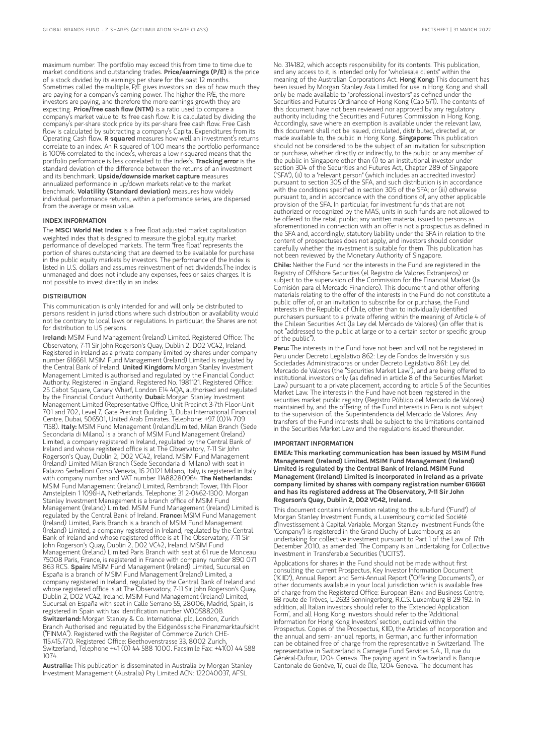maximum number. The portfolio may exceed this from time to time due to market conditions and outstanding trades. Price/earnings (P/E) is the price of a stock divided by its earnings per share for the past 12 months. Sometimes called the multiple, P/E gives investors an idea of how much they are paying for a company's earning power. The higher the P/E, the more investors are paying, and therefore the more earnings growth they are<br>expecting. **Price/free cash flow (NTM)** is a ratio used to compare a company's market value to its free cash flow. It is calculated by dividing the company's per-share stock price by its per-share free cash flow. Free Cash flow is calculated by subtracting a company's Capital Expenditures from its Operating Cash flow. R squared measures how well an investment's returns correlate to an index. An R squared of 1.00 means the portfolio performance is 100% correlated to the index's, whereas a low r-squared means that the portfolio performance is less correlated to the index's. Tracking error is the standard deviation of the difference between the returns of an investment and its benchmark. Upside/downside market capture measures annualized performance in up/down markets relative to the market benchmark. Volatility (Standard deviation) measures how widely individual performance returns, within a performance series, are dispersed from the average or mean value.

#### INDEX INFORMATION

The MSCI World Net Index is a free float adjusted market capitalization weighted index that is designed to measure the global equity market performance of developed markets. The term "free float" represents the portion of shares outstanding that are deemed to be available for purchase in the public equity markets by investors. The performance of the Index is listed in U.S. dollars and assumes reinvestment of net dividends.The index is unmanaged and does not include any expenses, fees or sales charges. It is not possible to invest directly in an index.

#### **DISTRIBUTION**

This communication is only intended for and will only be distributed to persons resident in jurisdictions where such distribution or availability would not be contrary to local laws or regulations. In particular, the Shares are not for distribution to US persons.

Ireland: MSIM Fund Management (Ireland) Limited. Registered Office: The Observatory, 7-11 Sir John Rogerson's Quay, Dublin 2, D02 VC42, Ireland. Registered in Ireland as a private company limited by shares under company number 616661. MSIM Fund Management (Ireland) Limited is regulated by the Central Bank of Ireland. United Kingdom: Morgan Stanley Investment Management Limited is authorised and regulated by the Financial Conduct Authority. Registered in England. Registered No. 1981121. Registered Office: 25 Cabot Square, Canary Wharf, London E14 4QA, authorised and regulated by the Financial Conduct Authority. Dubai: Morgan Stanley Investment Management Limited (Representative Office, Unit Precinct 3-7th Floor-Unit 701 and 702, Level 7, Gate Precinct Building 3, Dubai International Financial Centre, Dubai, 506501, United Arab Emirates. Telephone: +97 (0)14 709<br>7158). I**taly:** MSIM Fund Management (Ireland)Limited, Milan Branch (Sede Secondaria di Milano) is a branch of MSIM Fund Management (Ireland) Limited, a company registered in Ireland, regulated by the Central Bank of Ireland and whose registered office is at The Observatory, 7-11 Sir John Rogerson's Quay, Dublin 2, D02 VC42, Ireland. MSIM Fund Management (Ireland) Limited Milan Branch (Sede Secondaria di Milano) with seat in Palazzo Serbelloni Corso Venezia, 16 20121 Milano, Italy, is registered in Italy with company number and VAT number 11488280964. The Netherlands: MSIM Fund Management (Ireland) Limited, Rembrandt Tower, 11th Floor Amstelplein 1 1096HA, Netherlands. Telephone: 31 2-0462-1300. Morgan Stanley Investment Management is a branch office of MSIM Fund Management (Ireland) Limited. MSIM Fund Management (Ireland) Limited is regulated by the Central Bank of Ireland. France: MSIM Fund Management (Ireland) Limited, Paris Branch is a branch of MSIM Fund Management (Ireland) Limited, a company registered in Ireland, regulated by the Central Bank of Ireland and whose registered office is at The Observatory, 7-11 Sir John Rogerson's Quay, Dublin 2, D02 VC42, Ireland. MSIM Fund Management (Ireland) Limited Paris Branch with seat at 61 rue de Monceau 75008 Paris, France, is registered in France with company number 890 071 863 RCS. Spain: MSIM Fund Management (Ireland) Limited, Sucursal en España is a branch of MSIM Fund Management (Ireland) Limited, a company registered in Ireland, regulated by the Central Bank of Ireland and whose registered office is at The Observatory, 7-11 Sir John Rogerson's Quay, Dublin 2, D02 VC42, Ireland. MSIM Fund Management (Ireland) Limited, Sucursal en España with seat in Calle Serrano 55, 28006, Madrid, Spain, is registered in Spain with tax identification number W0058820B. Switzerland: Morgan Stanley & Co. International plc, London, Zurich Branch Authorised and regulated by the Eidgenössische Finanzmarktaufsicht ("FINMA"). Registered with the Register of Commerce Zurich CHE-115.415.770. Registered Office: Beethovenstrasse 33, 8002 Zurich, Switzerland, Telephone +41 (0) 44 588 1000. Facsimile Fax: +41(0) 44 588 1074.

Australia: This publication is disseminated in Australia by Morgan Stanley Investment Management (Australia) Pty Limited ACN: 122040037, AFSL

No. 314182, which accepts responsibility for its contents. This publication, and any access to it, is intended only for "wholesale clients" within the meaning of the Australian Corporations Act. Hong Kong: This document has been issued by Morgan Stanley Asia Limited for use in Hong Kong and shall only be made available to "professional investors" as defined under the Securities and Futures Ordinance of Hong Kong (Cap 571). The contents of this document have not been reviewed nor approved by any regulatory authority including the Securities and Futures Commission in Hong Kong. Accordingly, save where an exemption is available under the relevant law, this document shall not be issued, circulated, distributed, directed at, or made available to, the public in Hong Kong. Singapore: This publication should not be considered to be the subject of an invitation for subscription or purchase, whether directly or indirectly, to the public or any member of the public in Singapore other than (i) to an institutional investor under section 304 of the Securities and Futures Act, Chapter 289 of Singapore ("SFA"), (ii) to a "relevant person" (which includes an accredited investor) pursuant to section 305 of the SFA, and such distribution is in accordance with the conditions specified in section 305 of the SFA; or (iii) otherwise pursuant to, and in accordance with the conditions of, any other applicable provision of the SFA. In particular, for investment funds that are not authorized or recognized by the MAS, units in such funds are not allowed to be offered to the retail public; any written material issued to persons as aforementioned in connection with an offer is not a prospectus as defined in the SFA and, accordingly, statutory liability under the SFA in relation to the content of prospectuses does not apply, and investors should consider carefully whether the investment is suitable for them. This publication has not been reviewed by the Monetary Authority of Singapore.

Chile: Neither the Fund nor the interests in the Fund are registered in the Registry of Offshore Securities (el Registro de Valores Extranjeros) or subject to the supervision of the Commission for the Financial Market (la Comisión para el Mercado Financiero). This document and other offering materials relating to the offer of the interests in the Fund do not constitute a public offer of, or an invitation to subscribe for or purchase, the Fund interests in the Republic of Chile, other than to individually identified purchasers pursuant to a private offering within the meaning of Article 4 of the Chilean Securities Act (la Ley del Mercado de Valores) (an offer that is not "addressed to the public at large or to a certain sector or specific group of the public").

Peru: The interests in the Fund have not been and will not be registered in Peru under Decreto Legislativo 862: Ley de Fondos de Inversión y sus Sociedades Administradoras or under Decreto Legislativo 861: Ley del Mercado de Valores (the "Securities Market Law"), and are being offered to institutional investors only (as defined in article 8 of the Securities Market Law) pursuant to a private placement, according to article 5 of the Securities Market Law. The interests in the Fund have not been registered in the securities market public registry (Registro Público del Mercado de Valores) maintained by, and the offering of the Fund interests in Peru is not subject to the supervision of, the Superintendencia del Mercado de Valores. Any transfers of the Fund interests shall be subject to the limitations contained in the Securities Market Law and the regulations issued thereunder.

#### IMPORTANT INFORMATION

EMEA: This marketing communication has been issued by MSIM Fund Management (Ireland) Limited. MSIM Fund Management (Ireland) Limited is regulated by the Central Bank of Ireland. MSIM Fund Management (Ireland) Limited is incorporated in Ireland as a private company limited by shares with company registration number 616661 and has its registered address at The Observatory, 7-11 Sir John Rogerson's Quay, Dublin 2, D02 VC42, Ireland.

This document contains information relating to the sub-fund ("Fund") of Morgan Stanley Investment Funds, a Luxembourg domiciled Société d'Investissement à Capital Variable. Morgan Stanley Investment Funds (the "Company") is registered in the Grand Duchy of Luxembourg as an undertaking for collective investment pursuant to Part 1 of the Law of 17th December 2010, as amended. The Company is an Undertaking for Collective Investment in Transferable Securities ("UCITS").

Applications for shares in the Fund should not be made without first consulting the current Prospectus, Key Investor Information Document ("KIID"), Annual Report and Semi-Annual Report ("Offering Documents"), or other documents available in your local jurisdiction which is available free of charge from the Registered Office: European Bank and Business Centre, 6B route de Trèves, L-2633 Senningerberg, R.C.S. Luxemburg B 29 192. In addition, all Italian investors should refer to the 'Extended Application Form', and all Hong Kong investors should refer to the 'Additional Information for Hong Kong Investors' section, outlined within the Prospectus. Copies of the Prospectus, KIID, the Articles of Incorporation and the annual and semi- annual reports, in German, and further information can be obtained free of charge from the representative in Switzerland. The representative in Switzerland is Carnegie Fund Services S.A., 11, rue du Général-Dufour, 1204 Geneva. The paying agent in Switzerland is Banque Cantonale de Genève, 17, quai de l'Ile, 1204 Geneva. The document has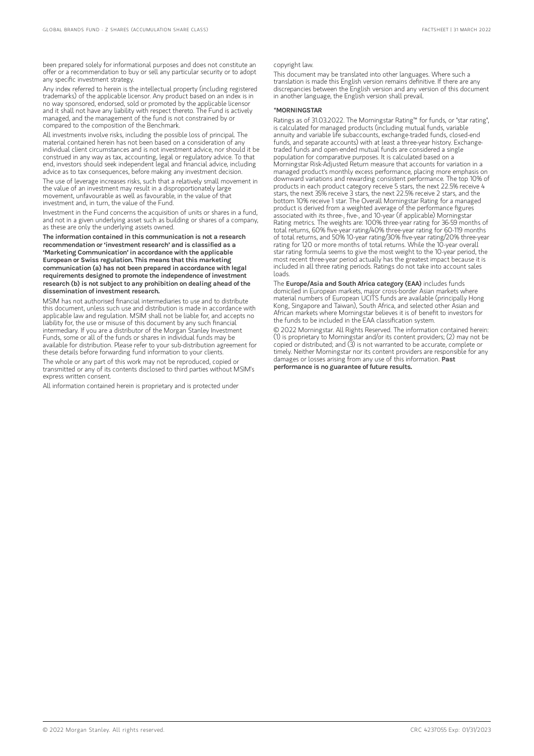been prepared solely for informational purposes and does not constitute an offer or a recommendation to buy or sell any particular security or to adopt any specific investment strategy.

Any index referred to herein is the intellectual property (including registered trademarks) of the applicable licensor. Any product based on an index is in no way sponsored, endorsed, sold or promoted by the applicable licensor and it shall not have any liability with respect thereto. The Fund is actively managed, and the management of the fund is not constrained by or compared to the composition of the Benchmark.

All investments involve risks, including the possible loss of principal. The material contained herein has not been based on a consideration of any individual client circumstances and is not investment advice, nor should it be construed in any way as tax, accounting, legal or regulatory advice. To that end, investors should seek independent legal and financial advice, including advice as to tax consequences, before making any investment decision.

The use of leverage increases risks, such that a relatively small movement in the value of an investment may result in a disproportionately large movement, unfavourable as well as favourable, in the value of that investment and, in turn, the value of the Fund.

Investment in the Fund concerns the acquisition of units or shares in a fund, and not in a given underlying asset such as building or shares of a company, as these are only the underlying assets owned.

The information contained in this communication is not a research recommendation or 'investment research' and is classified as a 'Marketing Communication' in accordance with the applicable European or Swiss regulation. This means that this marketing communication (a) has not been prepared in accordance with legal requirements designed to promote the independence of investment research (b) is not subject to any prohibition on dealing ahead ofthe dissemination of investment research.

MSIM has not authorised financial intermediaries to use and to distribute this document, unless such use and distribution is made in accordance with applicable law and regulation. MSIM shall not be liable for, and accepts no liability for, the use or misuse of this document by any such financial intermediary. If you are a distributor of the Morgan Stanley Investment Funds, some or all of the funds or shares in individual funds may be available for distribution. Please refer to your sub-distribution agreement for these details before forwarding fund information to your client:

The whole or any part of this work may not be reproduced, copied or transmitted or any of its contents disclosed to third parties without MSIM's express written consent.

All information contained herein is proprietary and is protected under

#### copyright law.

This document may be translated into other languages. Where such a translation is made this English version remains definitive. If there are any discrepancies between the English version and any version of this document in another language, the English version shall prevail.

#### \*MORNINGSTAR

Ratings as of 31.03.2022. The Morningstar Rating™ for funds, or "star rating", is calculated for managed products (including mutual funds, variable annuity and variable life subaccounts, exchange-traded funds, closed-end funds, and separate accounts) with at least a three-year history. Exchangetraded funds and open-ended mutual funds are considered a single population for comparative purposes. It is calculated based on a Morningstar Risk-Adjusted Return measure that accounts for variation in a managed product's monthly excess performance, placing more emphasis on downward variations and rewarding consistent performance. The top 10% of products in each product category receive 5 stars, the next 22.5% receive 4 stars, the next 35% receive 3 stars, the next 22.5% receive 2 stars, and the bottom 10% receive 1 star. The Overall Morningstar Rating for a managed product is derived from a weighted average of the performance figures associated with its three-, five-, and 10-year (if applicable) Morningstar Rating metrics. The weights are: 100% three-year rating for 36-59 months of total returns, 60% five-year rating/40% three-year rating for 60-119 months of total returns, and 50% 10-year rating/30% five-year rating/20% three-year rating for 120 or more months of total returns. While the 10-year overall star rating formula seems to give the most weight to the 10-year period, the most recent three-year period actually has the greatest impact because it is included in all three rating periods. Ratings do not take into account sales loads.

The Europe/Asia and South Africa category (EAA) includes funds domiciled in European markets, major cross-border Asian markets where material numbers of European UCITS funds are available (principally Hong Kong, Singapore and Taiwan), South Africa, and selected other Asian and African markets where Morningstar believes it is of benefit to investors for the funds to be included in the EAA classification system.

© 2022 Morningstar. All Rights Reserved. The information contained herein: (1) is proprietary to Morningstar and/or its content providers; (2) may not be copied or distributed; and (3) is not warranted to be accurate, complete or timely. Neither Morningstar nor its content providers are responsible for any damages or losses arising from any use of this information. Past performance is no guarantee of future results.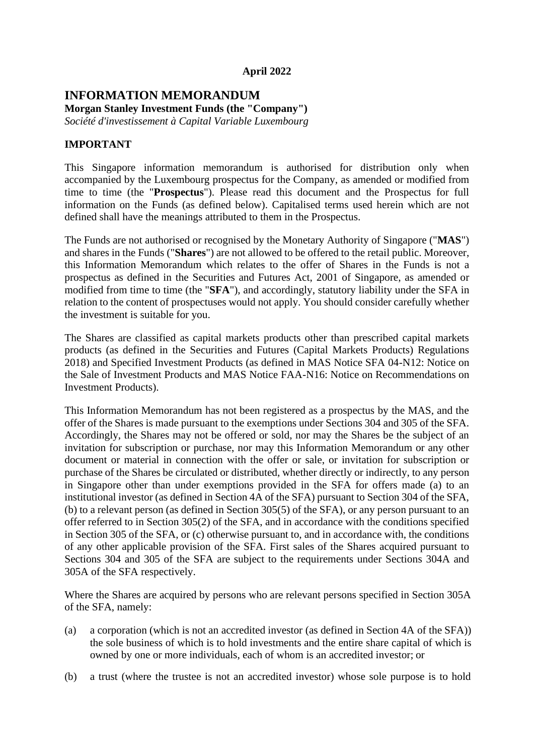### **April 2022**

### **INFORMATION MEMORANDUM Morgan Stanley Investment Funds (the "Company")**

*Société d'investissement à Capital Variable Luxembourg* 

### **IMPORTANT**

This Singapore information memorandum is authorised for distribution only when accompanied by the Luxembourg prospectus for the Company, as amended or modified from time to time (the "**Prospectus**"). Please read this document and the Prospectus for full information on the Funds (as defined below). Capitalised terms used herein which are not defined shall have the meanings attributed to them in the Prospectus.

The Funds are not authorised or recognised by the Monetary Authority of Singapore ("**MAS**") and shares in the Funds ("**Shares**") are not allowed to be offered to the retail public. Moreover, this Information Memorandum which relates to the offer of Shares in the Funds is not a prospectus as defined in the Securities and Futures Act, 2001 of Singapore, as amended or modified from time to time (the "**SFA**"), and accordingly, statutory liability under the SFA in relation to the content of prospectuses would not apply. You should consider carefully whether the investment is suitable for you.

The Shares are classified as capital markets products other than prescribed capital markets products (as defined in the Securities and Futures (Capital Markets Products) Regulations 2018) and Specified Investment Products (as defined in MAS Notice SFA 04-N12: Notice on the Sale of Investment Products and MAS Notice FAA-N16: Notice on Recommendations on Investment Products).

This Information Memorandum has not been registered as a prospectus by the MAS, and the offer of the Shares is made pursuant to the exemptions under Sections 304 and 305 of the SFA. Accordingly, the Shares may not be offered or sold, nor may the Shares be the subject of an invitation for subscription or purchase, nor may this Information Memorandum or any other document or material in connection with the offer or sale, or invitation for subscription or purchase of the Shares be circulated or distributed, whether directly or indirectly, to any person in Singapore other than under exemptions provided in the SFA for offers made (a) to an institutional investor (as defined in Section 4A of the SFA) pursuant to Section 304 of the SFA, (b) to a relevant person (as defined in Section 305(5) of the SFA), or any person pursuant to an offer referred to in Section 305(2) of the SFA, and in accordance with the conditions specified in Section 305 of the SFA, or (c) otherwise pursuant to, and in accordance with, the conditions of any other applicable provision of the SFA. First sales of the Shares acquired pursuant to Sections 304 and 305 of the SFA are subject to the requirements under Sections 304A and 305A of the SFA respectively.

Where the Shares are acquired by persons who are relevant persons specified in Section 305A of the SFA, namely:

- (a) a corporation (which is not an accredited investor (as defined in Section 4A of the SFA)) the sole business of which is to hold investments and the entire share capital of which is owned by one or more individuals, each of whom is an accredited investor; or
- (b) a trust (where the trustee is not an accredited investor) whose sole purpose is to hold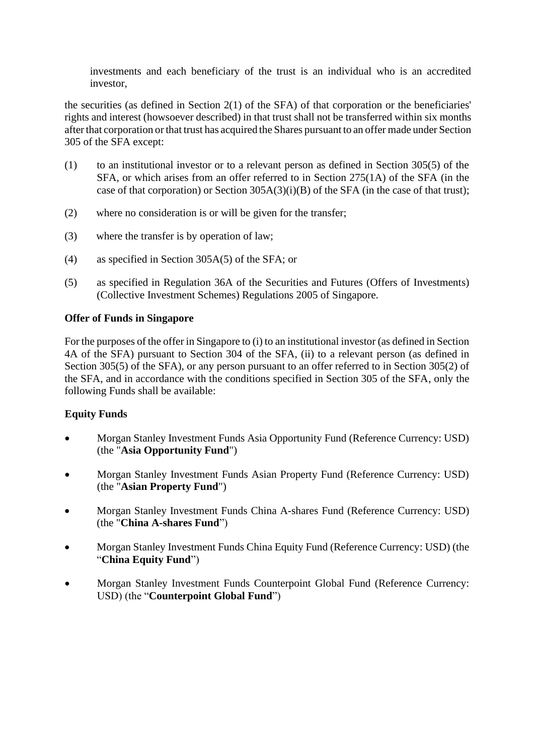investments and each beneficiary of the trust is an individual who is an accredited investor,

the securities (as defined in Section 2(1) of the SFA) of that corporation or the beneficiaries' rights and interest (howsoever described) in that trust shall not be transferred within six months after that corporation or that trust has acquired the Shares pursuant to an offer made under Section 305 of the SFA except:

- (1) to an institutional investor or to a relevant person as defined in Section 305(5) of the SFA, or which arises from an offer referred to in Section 275(1A) of the SFA (in the case of that corporation) or Section 305A(3)(i)(B) of the SFA (in the case of that trust);
- (2) where no consideration is or will be given for the transfer;
- (3) where the transfer is by operation of law;
- (4) as specified in Section 305A(5) of the SFA; or
- (5) as specified in Regulation 36A of the Securities and Futures (Offers of Investments) (Collective Investment Schemes) Regulations 2005 of Singapore.

### **Offer of Funds in Singapore**

For the purposes of the offer in Singapore to (i) to an institutional investor (as defined in Section 4A of the SFA) pursuant to Section 304 of the SFA, (ii) to a relevant person (as defined in Section 305(5) of the SFA), or any person pursuant to an offer referred to in Section 305(2) of the SFA, and in accordance with the conditions specified in Section 305 of the SFA, only the following Funds shall be available:

# **Equity Funds**

- Morgan Stanley Investment Funds Asia Opportunity Fund (Reference Currency: USD) (the "**Asia Opportunity Fund**")
- Morgan Stanley Investment Funds Asian Property Fund (Reference Currency: USD) (the "**Asian Property Fund**")
- Morgan Stanley Investment Funds China A-shares Fund (Reference Currency: USD) (the "**China A-shares Fund**")
- Morgan Stanley Investment Funds China Equity Fund (Reference Currency: USD) (the "**China Equity Fund**")
- Morgan Stanley Investment Funds Counterpoint Global Fund (Reference Currency: USD) (the "**Counterpoint Global Fund**")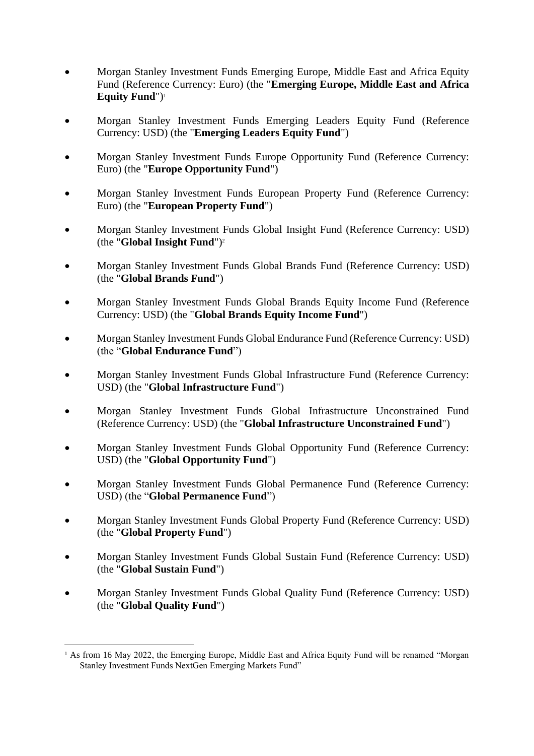- Morgan Stanley Investment Funds Emerging Europe, Middle East and Africa Equity Fund (Reference Currency: Euro) (the "**Emerging Europe, Middle East and Africa Equity Fund**")<sup>1</sup>
- Morgan Stanley Investment Funds Emerging Leaders Equity Fund (Reference Currency: USD) (the "**Emerging Leaders Equity Fund**")
- Morgan Stanley Investment Funds Europe Opportunity Fund (Reference Currency: Euro) (the "**Europe Opportunity Fund**")
- Morgan Stanley Investment Funds European Property Fund (Reference Currency: Euro) (the "**European Property Fund**")
- Morgan Stanley Investment Funds Global Insight Fund (Reference Currency: USD) (the "**Global Insight Fund**")<sup>2</sup>
- Morgan Stanley Investment Funds Global Brands Fund (Reference Currency: USD) (the "**Global Brands Fund**")
- Morgan Stanley Investment Funds Global Brands Equity Income Fund (Reference Currency: USD) (the "**Global Brands Equity Income Fund**")
- Morgan Stanley Investment Funds Global Endurance Fund (Reference Currency: USD) (the "**Global Endurance Fund**")
- Morgan Stanley Investment Funds Global Infrastructure Fund (Reference Currency: USD) (the "**Global Infrastructure Fund**")
- Morgan Stanley Investment Funds Global Infrastructure Unconstrained Fund (Reference Currency: USD) (the "**Global Infrastructure Unconstrained Fund**")
- Morgan Stanley Investment Funds Global Opportunity Fund (Reference Currency: USD) (the "**Global Opportunity Fund**")
- Morgan Stanley Investment Funds Global Permanence Fund (Reference Currency: USD) (the "**Global Permanence Fund**")
- Morgan Stanley Investment Funds Global Property Fund (Reference Currency: USD) (the "**Global Property Fund**")
- Morgan Stanley Investment Funds Global Sustain Fund (Reference Currency: USD) (the "**Global Sustain Fund**")
- Morgan Stanley Investment Funds Global Quality Fund (Reference Currency: USD) (the "**Global Quality Fund**")

<sup>&</sup>lt;sup>1</sup> As from 16 May 2022, the Emerging Europe, Middle East and Africa Equity Fund will be renamed "Morgan" Stanley Investment Funds NextGen Emerging Markets Fund"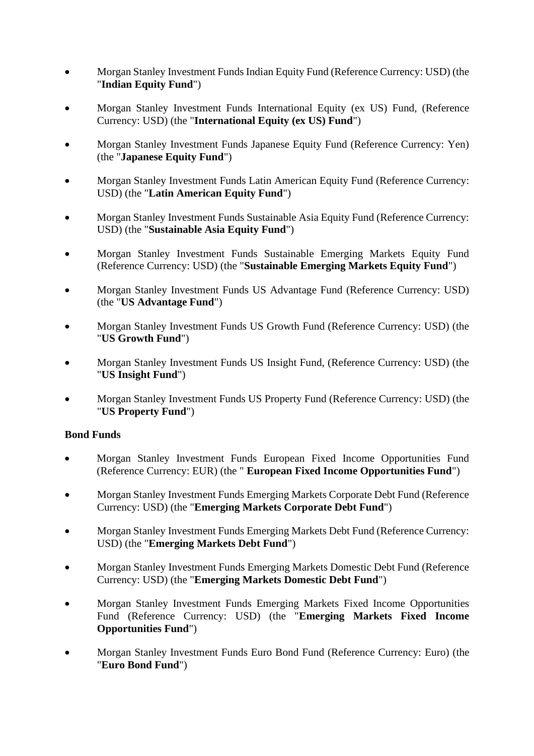- Morgan Stanley Investment Funds Indian Equity Fund (Reference Currency: USD) (the "**Indian Equity Fund**")
- Morgan Stanley Investment Funds International Equity (ex US) Fund, (Reference Currency: USD) (the "**International Equity (ex US) Fund**")
- Morgan Stanley Investment Funds Japanese Equity Fund (Reference Currency: Yen) (the "**Japanese Equity Fund**")
- Morgan Stanley Investment Funds Latin American Equity Fund (Reference Currency: USD) (the "**Latin American Equity Fund**")
- Morgan Stanley Investment Funds Sustainable Asia Equity Fund (Reference Currency: USD) (the "**Sustainable Asia Equity Fund**")
- Morgan Stanley Investment Funds Sustainable Emerging Markets Equity Fund (Reference Currency: USD) (the "**Sustainable Emerging Markets Equity Fund**")
- Morgan Stanley Investment Funds US Advantage Fund (Reference Currency: USD) (the "**US Advantage Fund**")
- Morgan Stanley Investment Funds US Growth Fund (Reference Currency: USD) (the "**US Growth Fund**")
- Morgan Stanley Investment Funds US Insight Fund, (Reference Currency: USD) (the "**US Insight Fund**")
- Morgan Stanley Investment Funds US Property Fund (Reference Currency: USD) (the "**US Property Fund**")

# **Bond Funds**

- Morgan Stanley Investment Funds European Fixed Income Opportunities Fund (Reference Currency: EUR) (the " **European Fixed Income Opportunities Fund**")
- Morgan Stanley Investment Funds Emerging Markets Corporate Debt Fund (Reference Currency: USD) (the "**Emerging Markets Corporate Debt Fund**")
- Morgan Stanley Investment Funds Emerging Markets Debt Fund (Reference Currency: USD) (the "**Emerging Markets Debt Fund**")
- Morgan Stanley Investment Funds Emerging Markets Domestic Debt Fund (Reference Currency: USD) (the "**Emerging Markets Domestic Debt Fund**")
- Morgan Stanley Investment Funds Emerging Markets Fixed Income Opportunities Fund (Reference Currency: USD) (the "**Emerging Markets Fixed Income Opportunities Fund**")
- Morgan Stanley Investment Funds Euro Bond Fund (Reference Currency: Euro) (the "**Euro Bond Fund**")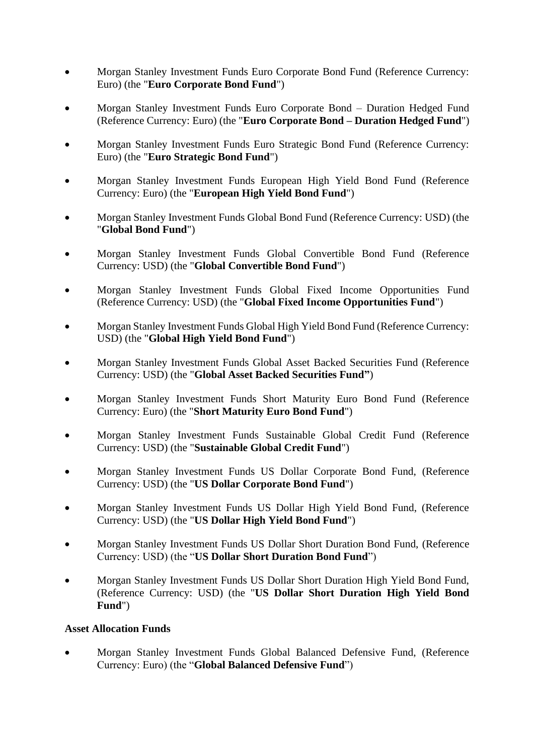- Morgan Stanley Investment Funds Euro Corporate Bond Fund (Reference Currency: Euro) (the "**Euro Corporate Bond Fund**")
- Morgan Stanley Investment Funds Euro Corporate Bond Duration Hedged Fund (Reference Currency: Euro) (the "**Euro Corporate Bond – Duration Hedged Fund**")
- Morgan Stanley Investment Funds Euro Strategic Bond Fund (Reference Currency: Euro) (the "**Euro Strategic Bond Fund**")
- Morgan Stanley Investment Funds European High Yield Bond Fund (Reference Currency: Euro) (the "**European High Yield Bond Fund**")
- Morgan Stanley Investment Funds Global Bond Fund (Reference Currency: USD) (the "**Global Bond Fund**")
- Morgan Stanley Investment Funds Global Convertible Bond Fund (Reference Currency: USD) (the "**Global Convertible Bond Fund**")
- Morgan Stanley Investment Funds Global Fixed Income Opportunities Fund (Reference Currency: USD) (the "**Global Fixed Income Opportunities Fund**")
- Morgan Stanley Investment Funds Global High Yield Bond Fund (Reference Currency: USD) (the "**Global High Yield Bond Fund**")
- Morgan Stanley Investment Funds Global Asset Backed Securities Fund (Reference Currency: USD) (the "**Global Asset Backed Securities Fund"**)
- Morgan Stanley Investment Funds Short Maturity Euro Bond Fund (Reference Currency: Euro) (the "**Short Maturity Euro Bond Fund**")
- Morgan Stanley Investment Funds Sustainable Global Credit Fund (Reference Currency: USD) (the "**Sustainable Global Credit Fund**")
- Morgan Stanley Investment Funds US Dollar Corporate Bond Fund, (Reference Currency: USD) (the "**US Dollar Corporate Bond Fund**")
- Morgan Stanley Investment Funds US Dollar High Yield Bond Fund, (Reference Currency: USD) (the "**US Dollar High Yield Bond Fund**")
- Morgan Stanley Investment Funds US Dollar Short Duration Bond Fund, (Reference Currency: USD) (the "**US Dollar Short Duration Bond Fund**")
- Morgan Stanley Investment Funds US Dollar Short Duration High Yield Bond Fund, (Reference Currency: USD) (the "**US Dollar Short Duration High Yield Bond Fund**")

# **Asset Allocation Funds**

• Morgan Stanley Investment Funds Global Balanced Defensive Fund, (Reference Currency: Euro) (the "**Global Balanced Defensive Fund**")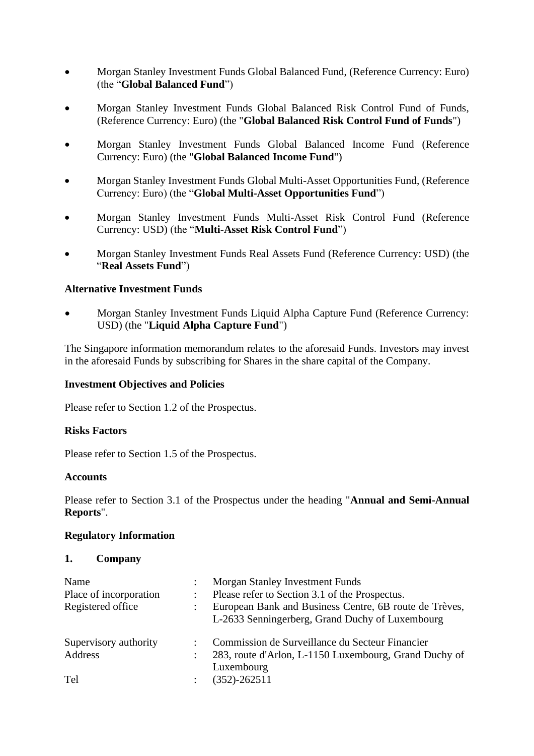- Morgan Stanley Investment Funds Global Balanced Fund, (Reference Currency: Euro) (the "**Global Balanced Fund**")
- Morgan Stanley Investment Funds Global Balanced Risk Control Fund of Funds, (Reference Currency: Euro) (the "**Global Balanced Risk Control Fund of Funds**")
- Morgan Stanley Investment Funds Global Balanced Income Fund (Reference Currency: Euro) (the "**Global Balanced Income Fund**")
- Morgan Stanley Investment Funds Global Multi-Asset Opportunities Fund, (Reference Currency: Euro) (the "**Global Multi-Asset Opportunities Fund**")
- Morgan Stanley Investment Funds Multi-Asset Risk Control Fund (Reference Currency: USD) (the "**Multi-Asset Risk Control Fund**")
- Morgan Stanley Investment Funds Real Assets Fund (Reference Currency: USD) (the "**Real Assets Fund**")

### **Alternative Investment Funds**

• Morgan Stanley Investment Funds Liquid Alpha Capture Fund (Reference Currency: USD) (the "**Liquid Alpha Capture Fund**")

The Singapore information memorandum relates to the aforesaid Funds. Investors may invest in the aforesaid Funds by subscribing for Shares in the share capital of the Company.

#### **Investment Objectives and Policies**

Please refer to Section 1.2 of the Prospectus.

#### **Risks Factors**

Please refer to Section 1.5 of the Prospectus.

#### **Accounts**

Please refer to Section 3.1 of the Prospectus under the heading "**Annual and Semi-Annual Reports**".

#### **Regulatory Information**

#### **1. Company**

| Name<br>Place of incorporation<br>Registered office | Morgan Stanley Investment Funds<br>Please refer to Section 3.1 of the Prospectus.<br>European Bank and Business Centre, 6B route de Trèves,<br>L-2633 Senningerberg, Grand Duchy of Luxembourg |
|-----------------------------------------------------|------------------------------------------------------------------------------------------------------------------------------------------------------------------------------------------------|
| Supervisory authority<br>Address                    | Commission de Surveillance du Secteur Financier<br>283, route d'Arlon, L-1150 Luxembourg, Grand Duchy of                                                                                       |
| Tel                                                 | Luxembourg<br>$(352) - 262511$                                                                                                                                                                 |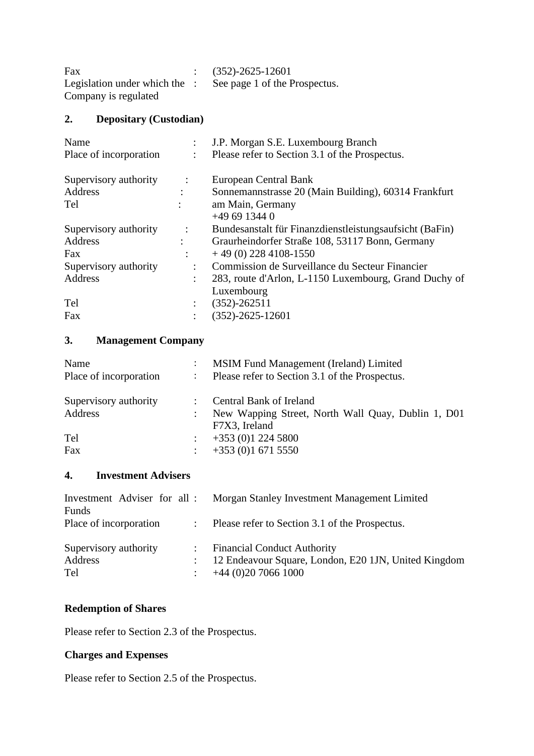| Fax                                      | $(352) - 2625 - 12601$        |
|------------------------------------------|-------------------------------|
| Legislation under which the $\therefore$ | See page 1 of the Prospectus. |
| Company is regulated                     |                               |

# **2. Depositary (Custodian)**

|                      | J.P. Morgan S.E. Luxembourg Branch                      |
|----------------------|---------------------------------------------------------|
| ÷                    | Please refer to Section 3.1 of the Prospectus.          |
| $\ddot{\phantom{1}}$ | European Central Bank                                   |
|                      | Sonnemannstrasse 20 (Main Building), 60314 Frankfurt    |
|                      | am Main, Germany                                        |
|                      | $+496913440$                                            |
| $\ddot{\cdot}$       | Bundesanstalt für Finanzdienstleistungsaufsicht (BaFin) |
|                      | Graurheindorfer Straße 108, 53117 Bonn, Germany         |
|                      | $+49(0)$ 228 4108-1550                                  |
| $\bullet$            | Commission de Surveillance du Secteur Financier         |
| ٠                    | 283, route d'Arlon, L-1150 Luxembourg, Grand Duchy of   |
|                      | Luxembourg                                              |
|                      | $(352) - 262511$                                        |
|                      | $(352) - 2625 - 12601$                                  |
|                      |                                                         |

# **3. Management Company**

| Name                   | $\ddot{\cdot}$       | <b>MSIM Fund Management (Ireland) Limited</b>                       |
|------------------------|----------------------|---------------------------------------------------------------------|
| Place of incorporation | $\ddot{\phantom{a}}$ | Please refer to Section 3.1 of the Prospectus.                      |
| Supervisory authority  |                      | Central Bank of Ireland                                             |
| Address                |                      | New Wapping Street, North Wall Quay, Dublin 1, D01<br>F7X3, Ireland |
| Tel                    | ÷                    | $+353(0)12245800$                                                   |
| Fax                    | ÷                    | $+353(0)16715550$                                                   |

# **4. Investment Advisers**

| Investment Adviser for all : Morgan Stanley Investment Management Limited |
|---------------------------------------------------------------------------|
|                                                                           |
| : Please refer to Section 3.1 of the Prospectus.                          |
| : Financial Conduct Authority                                             |
| : 12 Endeavour Square, London, E20 1JN, United Kingdom                    |
| $+44(0)2070661000$                                                        |
|                                                                           |

# **Redemption of Shares**

Please refer to Section 2.3 of the Prospectus.

# **Charges and Expenses**

Please refer to Section 2.5 of the Prospectus.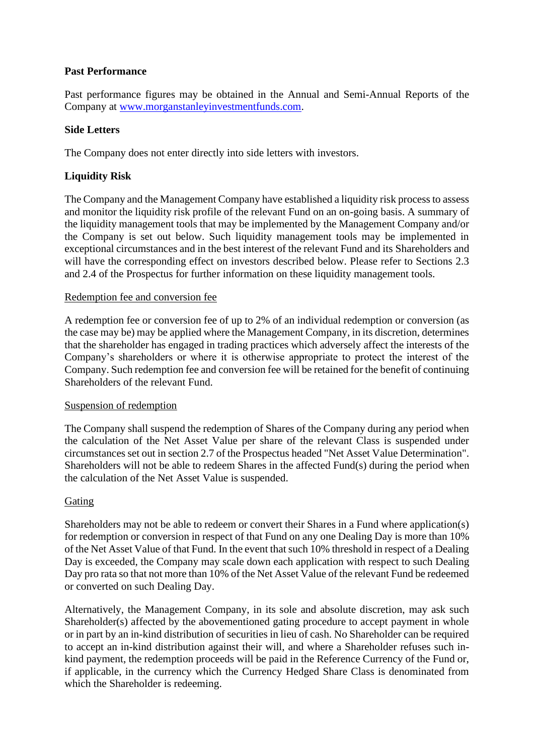### **Past Performance**

Past performance figures may be obtained in the Annual and Semi-Annual Reports of the Company at [www.morganstanleyinvestmentfunds.com.](http://www.morganstanleyinvestmentfunds.com/)

### **Side Letters**

The Company does not enter directly into side letters with investors.

# **Liquidity Risk**

The Company and the Management Company have established a liquidity risk process to assess and monitor the liquidity risk profile of the relevant Fund on an on-going basis. A summary of the liquidity management tools that may be implemented by the Management Company and/or the Company is set out below. Such liquidity management tools may be implemented in exceptional circumstances and in the best interest of the relevant Fund and its Shareholders and will have the corresponding effect on investors described below. Please refer to Sections 2.3 and 2.4 of the Prospectus for further information on these liquidity management tools.

### Redemption fee and conversion fee

A redemption fee or conversion fee of up to 2% of an individual redemption or conversion (as the case may be) may be applied where the Management Company, in its discretion, determines that the shareholder has engaged in trading practices which adversely affect the interests of the Company's shareholders or where it is otherwise appropriate to protect the interest of the Company. Such redemption fee and conversion fee will be retained for the benefit of continuing Shareholders of the relevant Fund.

#### Suspension of redemption

The Company shall suspend the redemption of Shares of the Company during any period when the calculation of the Net Asset Value per share of the relevant Class is suspended under circumstances set out in section 2.7 of the Prospectus headed "Net Asset Value Determination". Shareholders will not be able to redeem Shares in the affected Fund(s) during the period when the calculation of the Net Asset Value is suspended.

#### Gating

Shareholders may not be able to redeem or convert their Shares in a Fund where application(s) for redemption or conversion in respect of that Fund on any one Dealing Day is more than 10% of the Net Asset Value of that Fund. In the event that such 10% threshold in respect of a Dealing Day is exceeded, the Company may scale down each application with respect to such Dealing Day pro rata so that not more than 10% of the Net Asset Value of the relevant Fund be redeemed or converted on such Dealing Day.

Alternatively, the Management Company, in its sole and absolute discretion, may ask such Shareholder(s) affected by the abovementioned gating procedure to accept payment in whole or in part by an in-kind distribution of securities in lieu of cash. No Shareholder can be required to accept an in-kind distribution against their will, and where a Shareholder refuses such inkind payment, the redemption proceeds will be paid in the Reference Currency of the Fund or, if applicable, in the currency which the Currency Hedged Share Class is denominated from which the Shareholder is redeeming.